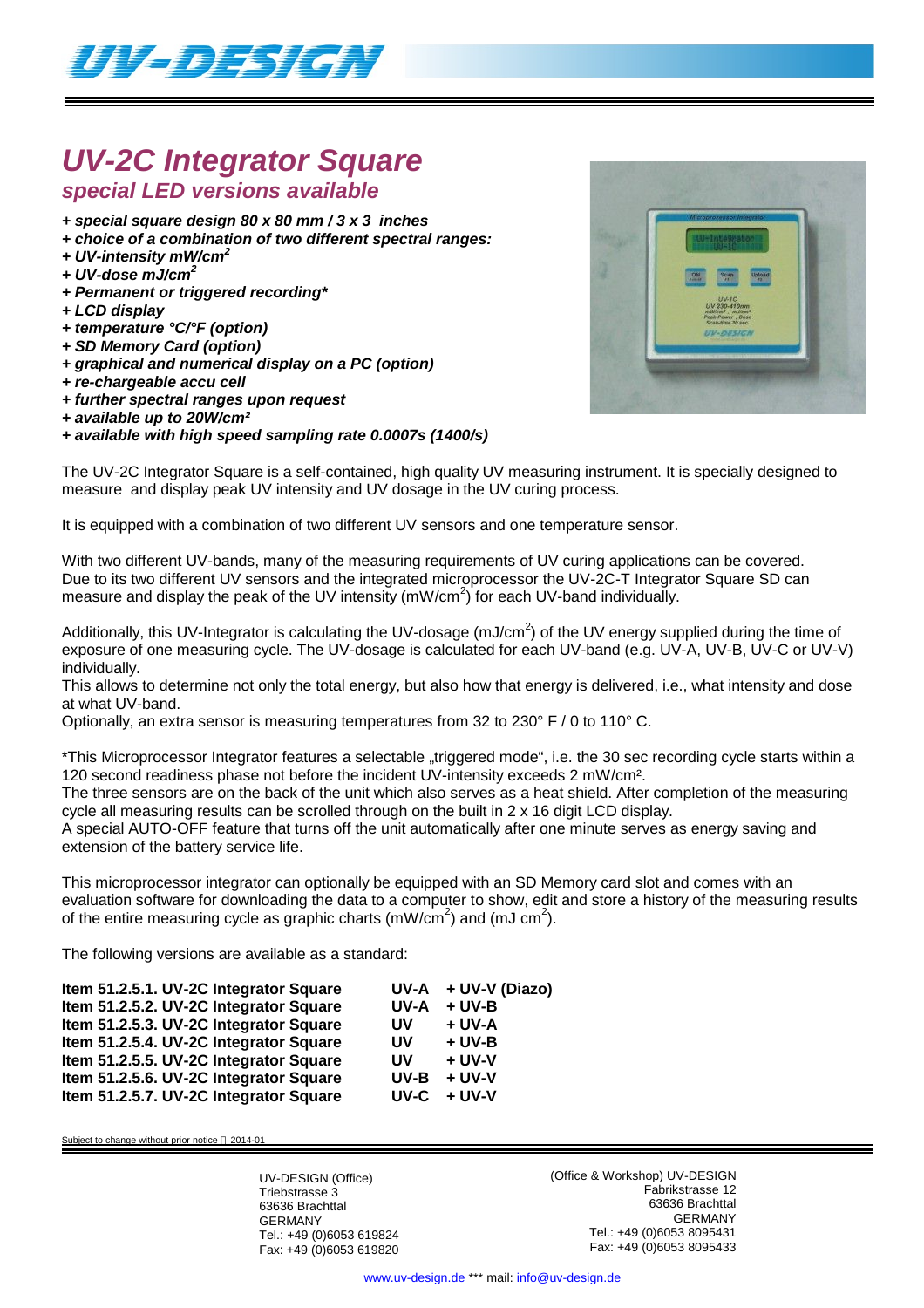

## *UV-2C Integrator Square special LED versions available*

- *+ special square design 80 x 80 mm / 3 x 3 inches*
- *+ choice of a combination of two different spectral ranges:*
- *+ UV-intensity mW/cm<sup>2</sup>*
- *+ UV-dose mJ/cm<sup>2</sup>*
- *+ Permanent or triggered recording\**
- *+ LCD display*
- *+ temperature °C/°F (option)*
- *+ SD Memory Card (option)*
- *+ graphical and numerical display on a PC (option)*
- *+ re-chargeable accu cell*
- *+ further spectral ranges upon request*
- *+ available up to 20W/cm²*

*+ available with high speed sampling rate 0.0007s (1400/s)*



The UV-2C Integrator Square is a self-contained, high quality UV measuring instrument. It is specially designed to measure and display peak UV intensity and UV dosage in the UV curing process.

It is equipped with a combination of two different UV sensors and one temperature sensor.

With two different UV-bands, many of the measuring requirements of UV curing applications can be covered. Due to its two different UV sensors and the integrated microprocessor the UV-2C-T Integrator Square SD can measure and display the peak of the UV intensity  $(mW/cm^2)$  for each UV-band individually.

Additionally, this UV-Integrator is calculating the UV-dosage (mJ/cm<sup>2</sup>) of the UV energy supplied during the time of exposure of one measuring cycle. The UV-dosage is calculated for each UV-band (e.g. UV-A, UV-B, UV-C or UV-V) individually.

This allows to determine not only the total energy, but also how that energy is delivered, i.e., what intensity and dose at what UV-band.

Optionally, an extra sensor is measuring temperatures from 32 to 230° F / 0 to 110° C.

\*This Microprocessor Integrator features a selectable "triggered mode", i.e. the 30 sec recording cycle starts within a 120 second readiness phase not before the incident UV-intensity exceeds 2 mW/cm².

The three sensors are on the back of the unit which also serves as a heat shield. After completion of the measuring cycle all measuring results can be scrolled through on the built in 2 x 16 digit LCD display.

A special AUTO-OFF feature that turns off the unit automatically after one minute serves as energy saving and extension of the battery service life.

This microprocessor integrator can optionally be equipped with an SD Memory card slot and comes with an evaluation software for downloading the data to a computer to show, edit and store a history of the measuring results of the entire measuring cycle as graphic charts (mW/cm<sup>2</sup>) and (mJ cm<sup>2</sup>).

The following versions are available as a standard:

| Item 51.2.5.1. UV-2C Integrator Square |           | $UV-A + UV-V (Diazo)$ |
|----------------------------------------|-----------|-----------------------|
| Item 51.2.5.2. UV-2C Integrator Square | UV-A      | $+$ UV-B              |
| Item 51.2.5.3. UV-2C Integrator Square | <b>UV</b> | + UV-A                |
| Item 51.2.5.4. UV-2C Integrator Square | UV        | $+$ UV-B              |
| Item 51.2.5.5. UV-2C Integrator Square | <b>UV</b> | $+$ UV-V              |
| Item 51.2.5.6. UV-2C Integrator Square | UV-B      | $+ UV-V$              |
| Item 51.2.5.7. UV-2C Integrator Square | UV-C      | $+$ UV-V              |

Subject to change without prior notice  $@$  2014-01

UV-DESIGN (Office) Triebstrasse 3 63636 Brachttal GERMANY Tel.: +49 (0)6053 619824 Fax: +49 (0)6053 619820 (Office & Workshop) UV-DESIGN Fabrikstrasse 12 63636 Brachttal GERMANY Tel.: +49 (0)6053 8095431 Fax: +49 (0)6053 8095433

www.uv-design.de \*\*\* mail: info@uv-design.de